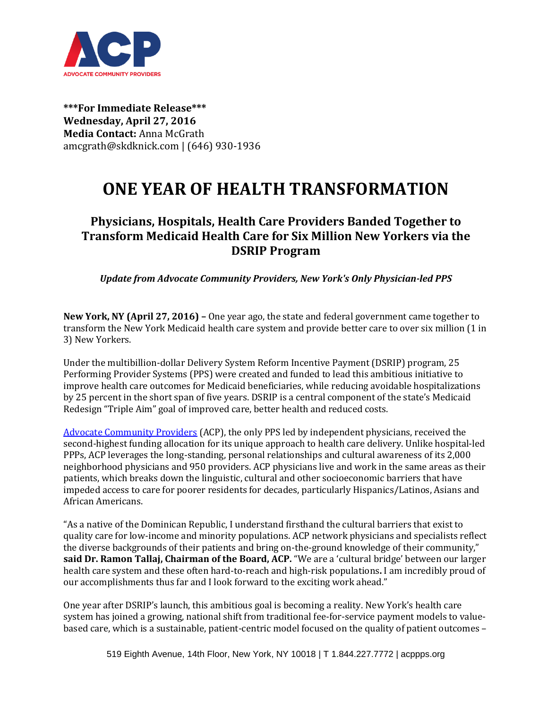

**\*\*\*For Immediate Release\*\*\* Wednesday, April 27, 2016 Media Contact:** Anna McGrath amcgrath@skdknick.com | (646) 930-1936

## **ONE YEAR OF HEALTH TRANSFORMATION**

## **Physicians, Hospitals, Health Care Providers Banded Together to Transform Medicaid Health Care for Six Million New Yorkers via the DSRIP Program**

*Update from Advocate Community Providers, New York's Only Physician-led PPS* 

**New York, NY (April 27, 2016) –** One year ago, the state and federal government came together to transform the New York Medicaid health care system and provide better care to over six million (1 in 3) New Yorkers.

Under the multibillion-dollar Delivery System Reform Incentive Payment (DSRIP) program, 25 Performing Provider Systems (PPS) were created and funded to lead this ambitious initiative to improve health care outcomes for Medicaid beneficiaries, while reducing avoidable hospitalizations by 25 percent in the short span of five years. DSRIP is a central component of the state's Medicaid Redesign "Triple Aim" goal of improved care, better health and reduced costs.

[Advocate Community Providers](mailto:http://www.acppps.org/) (ACP), the only PPS led by independent physicians, received the second-highest funding allocation for its unique approach to health care delivery. Unlike hospital-led PPPs, ACP leverages the long-standing, personal relationships and cultural awareness of its 2,000 neighborhood physicians and 950 providers. ACP physicians live and work in the same areas as their patients, which breaks down the linguistic, cultural and other socioeconomic barriers that have impeded access to care for poorer residents for decades, particularly Hispanics/Latinos, Asians and African Americans.

"As a native of the Dominican Republic, I understand firsthand the cultural barriers that exist to quality care for low-income and minority populations. ACP network physicians and specialists reflect the diverse backgrounds of their patients and bring on-the-ground knowledge of their community," **said Dr. Ramon Tallaj, Chairman of the Board, ACP.** "We are a 'cultural bridge' between our larger health care system and these often hard-to-reach and high-risk populations**.** I am incredibly proud of our accomplishments thus far and I look forward to the exciting work ahead."

One year after DSRIP's launch, this ambitious goal is becoming a reality. New York's health care system has joined a growing, national shift from traditional fee-for-service payment models to valuebased care, which is a sustainable, patient-centric model focused on the quality of patient outcomes –